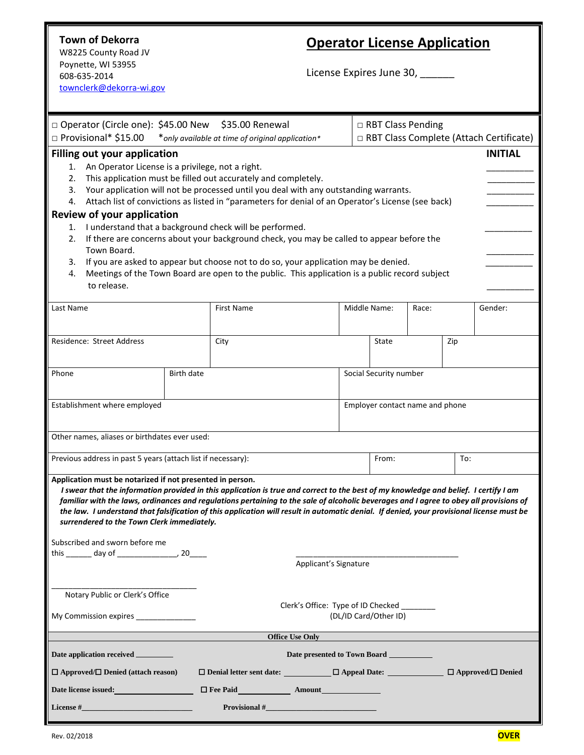## **Town of Dekorra**

W8225 County Road JV Poynette, WI 53955 608-635-2014 [townclerk@dekorra-wi.gov](mailto:townclerk@dekorra-wi.gov)

# **Operator License Application**

License Expires June 30, \_\_\_\_\_\_

| □ Operator (Circle one): \$45.00 New                                                                                                                                                                                                                                                                                                                                                                                                                                                                                                   |                                                                                                              |                                                                                                    | $\Box$ RBT Class Pending        |       |         |  |  |  |  |  |
|----------------------------------------------------------------------------------------------------------------------------------------------------------------------------------------------------------------------------------------------------------------------------------------------------------------------------------------------------------------------------------------------------------------------------------------------------------------------------------------------------------------------------------------|--------------------------------------------------------------------------------------------------------------|----------------------------------------------------------------------------------------------------|---------------------------------|-------|---------|--|--|--|--|--|
| □ Provisional* \$15.00<br>*only available at time of original application*                                                                                                                                                                                                                                                                                                                                                                                                                                                             | □ RBT Class Complete (Attach Certificate)                                                                    |                                                                                                    |                                 |       |         |  |  |  |  |  |
| <b>Filling out your application</b><br><b>INITIAL</b><br>An Operator License is a privilege, not a right.<br>1.<br>This application must be filled out accurately and completely.<br>2.                                                                                                                                                                                                                                                                                                                                                |                                                                                                              |                                                                                                    |                                 |       |         |  |  |  |  |  |
| 3.                                                                                                                                                                                                                                                                                                                                                                                                                                                                                                                                     | Your application will not be processed until you deal with any outstanding warrants.                         |                                                                                                    |                                 |       |         |  |  |  |  |  |
| 4.                                                                                                                                                                                                                                                                                                                                                                                                                                                                                                                                     |                                                                                                              | Attach list of convictions as listed in "parameters for denial of an Operator's License (see back) |                                 |       |         |  |  |  |  |  |
| <b>Review of your application</b>                                                                                                                                                                                                                                                                                                                                                                                                                                                                                                      |                                                                                                              |                                                                                                    |                                 |       |         |  |  |  |  |  |
| I understand that a background check will be performed.<br>1.<br>If there are concerns about your background check, you may be called to appear before the<br>2.<br>Town Board.                                                                                                                                                                                                                                                                                                                                                        |                                                                                                              |                                                                                                    |                                 |       |         |  |  |  |  |  |
| If you are asked to appear but choose not to do so, your application may be denied.<br>3.                                                                                                                                                                                                                                                                                                                                                                                                                                              |                                                                                                              |                                                                                                    |                                 |       |         |  |  |  |  |  |
| Meetings of the Town Board are open to the public. This application is a public record subject<br>4.<br>to release.                                                                                                                                                                                                                                                                                                                                                                                                                    |                                                                                                              |                                                                                                    |                                 |       |         |  |  |  |  |  |
| Last Name                                                                                                                                                                                                                                                                                                                                                                                                                                                                                                                              |                                                                                                              | <b>First Name</b>                                                                                  | Middle Name:                    | Race: | Gender: |  |  |  |  |  |
| Residence: Street Address                                                                                                                                                                                                                                                                                                                                                                                                                                                                                                              |                                                                                                              | City                                                                                               | State                           | Zip   |         |  |  |  |  |  |
| Phone                                                                                                                                                                                                                                                                                                                                                                                                                                                                                                                                  | Social Security number<br>Birth date                                                                         |                                                                                                    |                                 |       |         |  |  |  |  |  |
| Establishment where employed                                                                                                                                                                                                                                                                                                                                                                                                                                                                                                           |                                                                                                              |                                                                                                    | Employer contact name and phone |       |         |  |  |  |  |  |
| Other names, aliases or birthdates ever used:                                                                                                                                                                                                                                                                                                                                                                                                                                                                                          |                                                                                                              |                                                                                                    |                                 |       |         |  |  |  |  |  |
| Previous address in past 5 years (attach list if necessary):                                                                                                                                                                                                                                                                                                                                                                                                                                                                           |                                                                                                              | From:                                                                                              | To:                             |       |         |  |  |  |  |  |
| Application must be notarized if not presented in person.<br>I swear that the information provided in this application is true and correct to the best of my knowledge and belief. I certify I am<br>familiar with the laws, ordinances and regulations pertaining to the sale of alcoholic beverages and I agree to obey all provisions of<br>the law. I understand that falsification of this application will result in automatic denial. If denied, your provisional license must be<br>surrendered to the Town Clerk immediately. |                                                                                                              |                                                                                                    |                                 |       |         |  |  |  |  |  |
| Subscribed and sworn before me                                                                                                                                                                                                                                                                                                                                                                                                                                                                                                         |                                                                                                              |                                                                                                    |                                 |       |         |  |  |  |  |  |
|                                                                                                                                                                                                                                                                                                                                                                                                                                                                                                                                        | this $\_\_\_$ day of $\_\_\_\_$ , 20<br>Applicant's Signature                                                |                                                                                                    |                                 |       |         |  |  |  |  |  |
| Notary Public or Clerk's Office                                                                                                                                                                                                                                                                                                                                                                                                                                                                                                        |                                                                                                              |                                                                                                    |                                 |       |         |  |  |  |  |  |
|                                                                                                                                                                                                                                                                                                                                                                                                                                                                                                                                        | Clerk's Office: Type of ID Checked ________<br>(DL/ID Card/Other ID)<br>My Commission expires ______________ |                                                                                                    |                                 |       |         |  |  |  |  |  |
|                                                                                                                                                                                                                                                                                                                                                                                                                                                                                                                                        |                                                                                                              | <b>Office Use Only</b>                                                                             |                                 |       |         |  |  |  |  |  |
| Date application received _______<br>Date presented to Town Board                                                                                                                                                                                                                                                                                                                                                                                                                                                                      |                                                                                                              |                                                                                                    |                                 |       |         |  |  |  |  |  |
| $\Box$ Approved/ $\Box$ Denied (attach reason)                                                                                                                                                                                                                                                                                                                                                                                                                                                                                         |                                                                                                              | □ Denial letter sent date: __________ □ Appeal Date: ____________ □ Approved/□ Denied              |                                 |       |         |  |  |  |  |  |
| Date license issued: <b>Example 2018</b>                                                                                                                                                                                                                                                                                                                                                                                                                                                                                               |                                                                                                              |                                                                                                    |                                 |       |         |  |  |  |  |  |
|                                                                                                                                                                                                                                                                                                                                                                                                                                                                                                                                        |                                                                                                              |                                                                                                    |                                 |       |         |  |  |  |  |  |